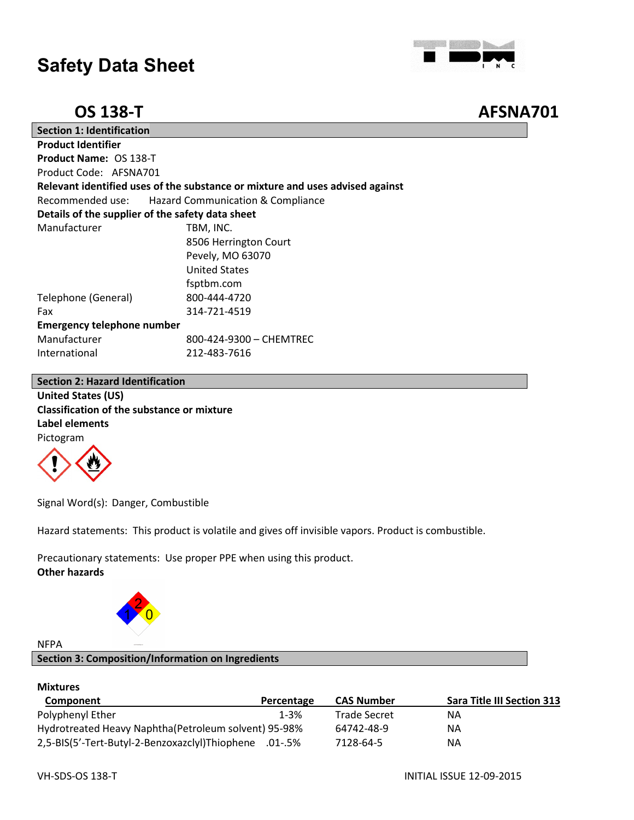

**OS 138-T AFSNA701**

| <b>Section 1: Identification</b>                 |                                                                               |  |  |
|--------------------------------------------------|-------------------------------------------------------------------------------|--|--|
| <b>Product Identifier</b>                        |                                                                               |  |  |
| <b>Product Name: OS 138-T</b>                    |                                                                               |  |  |
| Product Code: AFSNA701                           |                                                                               |  |  |
|                                                  | Relevant identified uses of the substance or mixture and uses advised against |  |  |
| Recommended use:                                 | <b>Hazard Communication &amp; Compliance</b>                                  |  |  |
| Details of the supplier of the safety data sheet |                                                                               |  |  |
| Manufacturer                                     | TBM, INC.                                                                     |  |  |
|                                                  | 8506 Herrington Court                                                         |  |  |
|                                                  | Pevely, MO 63070                                                              |  |  |
|                                                  | <b>United States</b>                                                          |  |  |
|                                                  | fsptbm.com                                                                    |  |  |
| Telephone (General)                              | 800-444-4720                                                                  |  |  |
| Fax                                              | 314-721-4519                                                                  |  |  |
| <b>Emergency telephone number</b>                |                                                                               |  |  |
| Manufacturer                                     | 800-424-9300 - CHEMTREC                                                       |  |  |
| International                                    | 212-483-7616                                                                  |  |  |

#### **Section 2: Hazard Identification**

**United States (US) Classification of the substance or mixture Label elements** Pictogram



Signal Word(s): Danger, Combustible

Hazard statements: This product is volatile and gives off invisible vapors. Product is combustible.

Precautionary statements: Use proper PPE when using this product. **Other hazards**



#### NFPA

#### **Section 3: Composition/Information on Ingredients**

#### **Mixtures**

| Component                                              | Percentage | <b>CAS Number</b> | <b>Sara Title III Section 313</b> |
|--------------------------------------------------------|------------|-------------------|-----------------------------------|
| Polyphenyl Ether                                       | $1 - 3%$   | Trade Secret      | ΝA                                |
| Hydrotreated Heavy Naphtha (Petroleum solvent) 95-98%  |            | 64742-48-9        | ΝA                                |
| 2,5-BIS(5'-Tert-Butyl-2-Benzoxazclyl)Thiophene .01-.5% |            | 7128-64-5         | ΝA                                |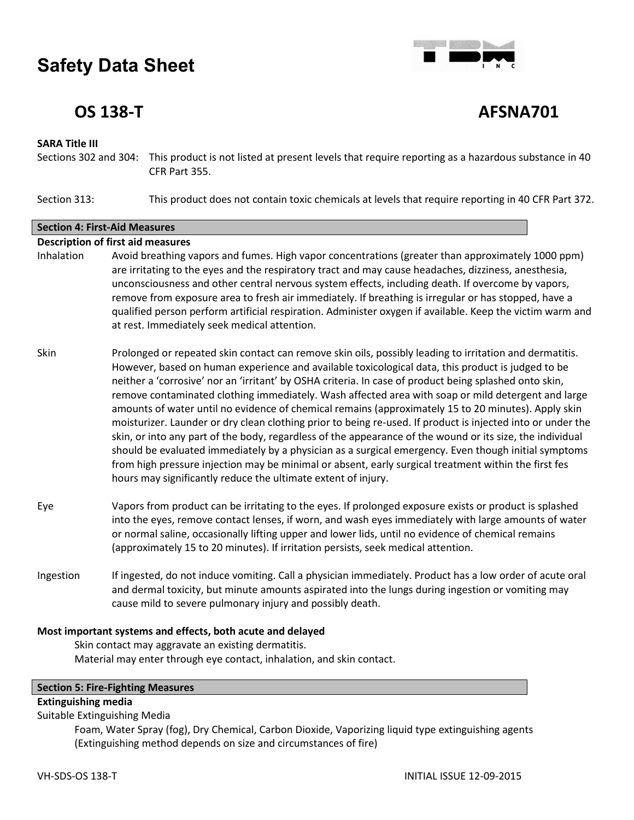

## **OS 138-T AFSNA701**

#### **SARA Title III**

Sections 302 and 304: This product is not listed at present levels that require reporting as a hazardous substance in 40 CFR Part 355.

Section 313: This product does not contain toxic chemicals at levels that require reporting in 40 CFR Part 372.

### **Section 4: First-Aid Measures Description of first aid measures** Inhalation Avoid breathing vapors and fumes. High vapor concentrations (greater than approximately 1000 ppm) are irritating to the eyes and the respiratory tract and may cause headaches, dizziness, anesthesia, unconsciousness and other central nervous system effects, including death. If overcome by vapors, remove from exposure area to fresh air immediately. If breathing is irregular or has stopped, have a qualified person perform artificial respiration. Administer oxygen if available. Keep the victim warm and at rest. Immediately seek medical attention.

Skin Prolonged or repeated skin contact can remove skin oils, possibly leading to irritation and dermatitis. However, based on human experience and available toxicological data, this product is judged to be neither a 'corrosive' nor an 'irritant' by OSHA criteria. In case of product being splashed onto skin, remove contaminated clothing immediately. Wash affected area with soap or mild detergent and large amounts of water until no evidence of chemical remains (approximately 15 to 20 minutes). Apply skin moisturizer. Launder or dry clean clothing prior to being re-used. If product is injected into or under the skin, or into any part of the body, regardless of the appearance of the wound or its size, the individual should be evaluated immediately by a physician as a surgical emergency. Even though initial symptoms from high pressure injection may be minimal or absent, early surgical treatment within the first fes hours may significantly reduce the ultimate extent of injury.

- Eye Vapors from product can be irritating to the eyes. If prolonged exposure exists or product is splashed into the eyes, remove contact lenses, if worn, and wash eyes immediately with large amounts of water or normal saline, occasionally lifting upper and lower lids, until no evidence of chemical remains (approximately 15 to 20 minutes). If irritation persists, seek medical attention.
- Ingestion If ingested, do not induce vomiting. Call a physician immediately. Product has a low order of acute oral and dermal toxicity, but minute amounts aspirated into the lungs during ingestion or vomiting may cause mild to severe pulmonary injury and possibly death.

#### **Most important systems and effects, both acute and delayed**

Skin contact may aggravate an existing dermatitis. Material may enter through eye contact, inhalation, and skin contact.

#### **Section 5: Fire-Fighting Measures**

#### **Extinguishing media**

Suitable Extinguishing Media

Foam, Water Spray (fog), Dry Chemical, Carbon Dioxide, Vaporizing liquid type extinguishing agents (Extinguishing method depends on size and circumstances of fire)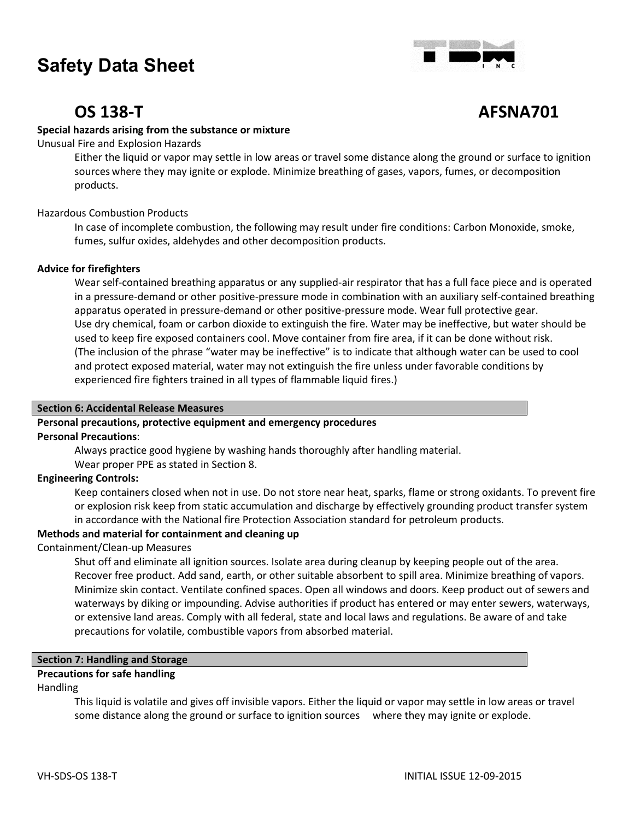

## **OS 138-T AFSNA701**

#### **Special hazards arising from the substance or mixture**

Unusual Fire and Explosion Hazards

Either the liquid or vapor may settle in low areas or travel some distance along the ground or surface to ignition sources where they may ignite or explode. Minimize breathing of gases, vapors, fumes, or decomposition products.

#### Hazardous Combustion Products

In case of incomplete combustion, the following may result under fire conditions: Carbon Monoxide, smoke, fumes, sulfur oxides, aldehydes and other decomposition products.

#### **Advice for firefighters**

Wear self-contained breathing apparatus or any supplied-air respirator that has a full face piece and is operated in a pressure-demand or other positive-pressure mode in combination with an auxiliary self-contained breathing apparatus operated in pressure-demand or other positive-pressure mode. Wear full protective gear. Use dry chemical, foam or carbon dioxide to extinguish the fire. Water may be ineffective, but water should be used to keep fire exposed containers cool. Move container from fire area, if it can be done without risk. (The inclusion of the phrase "water may be ineffective" is to indicate that although water can be used to cool and protect exposed material, water may not extinguish the fire unless under favorable conditions by experienced fire fighters trained in all types of flammable liquid fires.)

#### **Section 6: Accidental Release Measures**

### **Personal precautions, protective equipment and emergency procedures**

#### **Personal Precautions**:

Always practice good hygiene by washing hands thoroughly after handling material.

Wear proper PPE as stated in Section 8.

#### **Engineering Controls:**

Keep containers closed when not in use. Do not store near heat, sparks, flame or strong oxidants. To prevent fire or explosion risk keep from static accumulation and discharge by effectively grounding product transfer system in accordance with the National fire Protection Association standard for petroleum products.

#### **Methods and material for containment and cleaning up**

#### Containment/Clean-up Measures

Shut off and eliminate all ignition sources. Isolate area during cleanup by keeping people out of the area. Recover free product. Add sand, earth, or other suitable absorbent to spill area. Minimize breathing of vapors. Minimize skin contact. Ventilate confined spaces. Open all windows and doors. Keep product out of sewers and waterways by diking or impounding. Advise authorities if product has entered or may enter sewers, waterways, or extensive land areas. Comply with all federal, state and local laws and regulations. Be aware of and take precautions for volatile, combustible vapors from absorbed material.

#### **Section 7: Handling and Storage**

#### **Precautions for safe handling**

#### Handling

This liquid is volatile and gives off invisible vapors. Either the liquid or vapor may settle in low areas or travel some distance along the ground or surface to ignition sources where they may ignite or explode.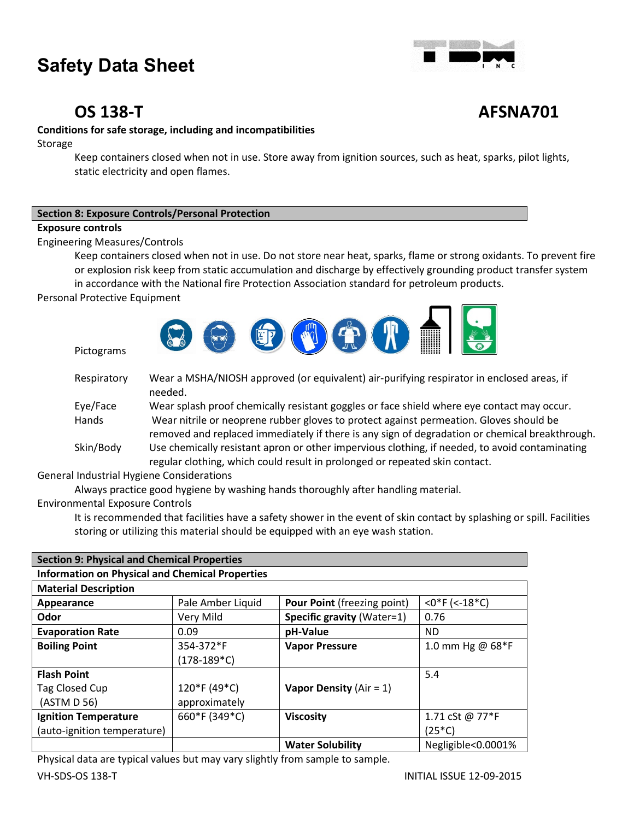

## **OS 138-T AFSNA701**

### **Conditions for safe storage, including and incompatibilities**

Storage

Keep containers closed when not in use. Store away from ignition sources, such as heat, sparks, pilot lights, static electricity and open flames.

| <b>Section 8: Exposure Controls/Personal Protection</b> |
|---------------------------------------------------------|
|---------------------------------------------------------|

#### **Exposure controls**

Engineering Measures/Controls

Keep containers closed when not in use. Do not store near heat, sparks, flame or strong oxidants. To prevent fire or explosion risk keep from static accumulation and discharge by effectively grounding product transfer system

in accordance with the National fire Protection Association standard for petroleum products.

Personal Protective Equipment

Pictograms



| Respiratory | Wear a MSHA/NIOSH approved (or equivalent) air-purifying respirator in enclosed areas, if<br>needed. |
|-------------|------------------------------------------------------------------------------------------------------|
| Eye/Face    | Wear splash proof chemically resistant goggles or face shield where eye contact may occur.           |
| Hands       | Wear nitrile or neoprene rubber gloves to protect against permeation. Gloves should be               |
|             | removed and replaced immediately if there is any sign of degradation or chemical breakthrough.       |
| Skin/Body   | Use chemically resistant apron or other impervious clothing, if needed, to avoid contaminating       |
|             | regular clothing, which could result in prolonged or repeated skin contact.                          |

General Industrial Hygiene Considerations

Always practice good hygiene by washing hands thoroughly after handling material.

Environmental Exposure Controls

It is recommended that facilities have a safety shower in the event of skin contact by splashing or spill. Facilities storing or utilizing this material should be equipped with an eye wash station.

| <b>Section 9: Physical and Chemical Properties</b>     |                   |                                    |                    |
|--------------------------------------------------------|-------------------|------------------------------------|--------------------|
| <b>Information on Physical and Chemical Properties</b> |                   |                                    |                    |
| <b>Material Description</b>                            |                   |                                    |                    |
| Appearance                                             | Pale Amber Liquid | <b>Pour Point (freezing point)</b> | $<$ 0*F (<-18*C)   |
| Odor                                                   | Very Mild         | <b>Specific gravity (Water=1)</b>  | 0.76               |
| <b>Evaporation Rate</b>                                | 0.09              | pH-Value                           | ND.                |
| <b>Boiling Point</b>                                   | 354-372*F         | <b>Vapor Pressure</b>              | 1.0 mm Hg @ 68*F   |
|                                                        | $(178-189*C)$     |                                    |                    |
| <b>Flash Point</b>                                     |                   |                                    | 5.4                |
| Tag Closed Cup                                         | 120*F (49*C)      | Vapor Density ( $Air = 1$ )        |                    |
| (ASTM D 56)                                            | approximately     |                                    |                    |
| <b>Ignition Temperature</b>                            | 660*F (349*C)     | <b>Viscosity</b>                   | 1.71 cSt @ 77*F    |
| (auto-ignition temperature)                            |                   |                                    | $(25*C)$           |
|                                                        |                   | <b>Water Solubility</b>            | Negligible<0.0001% |

Physical data are typical values but may vary slightly from sample to sample.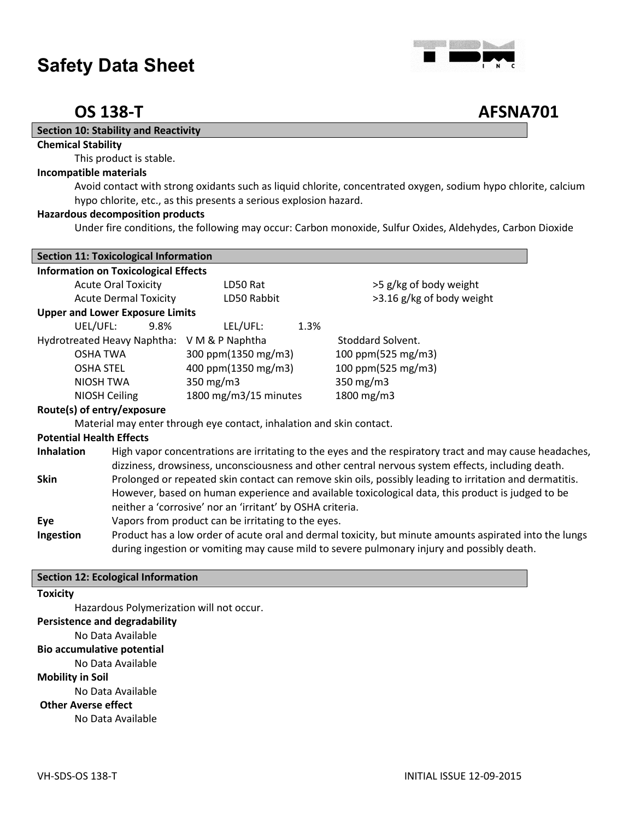

## **OS 138-T AFSNA701**

#### **Section 10: Stability and Reactivity**

#### **Chemical Stability**

This product is stable.

#### **Incompatible materials**

Avoid contact with strong oxidants such as liquid chlorite, concentrated oxygen, sodium hypo chlorite, calcium hypo chlorite, etc., as this presents a serious explosion hazard.

#### **Hazardous decomposition products**

Under fire conditions, the following may occur: Carbon monoxide, Sulfur Oxides, Aldehydes, Carbon Dioxide

|                                 | <b>Section 11: Toxicological Information</b> |                                                                      |      |                                                                                                         |
|---------------------------------|----------------------------------------------|----------------------------------------------------------------------|------|---------------------------------------------------------------------------------------------------------|
|                                 | <b>Information on Toxicological Effects</b>  |                                                                      |      |                                                                                                         |
|                                 | <b>Acute Oral Toxicity</b>                   | LD50 Rat                                                             |      | >5 g/kg of body weight                                                                                  |
|                                 | <b>Acute Dermal Toxicity</b>                 | LD50 Rabbit                                                          |      | >3.16 g/kg of body weight                                                                               |
|                                 | <b>Upper and Lower Exposure Limits</b>       |                                                                      |      |                                                                                                         |
| UEL/UFL:                        | 9.8%                                         | LEL/UFL:                                                             | 1.3% |                                                                                                         |
|                                 |                                              | Hydrotreated Heavy Naphtha: V M & P Naphtha                          |      | Stoddard Solvent.                                                                                       |
|                                 | <b>OSHA TWA</b>                              | 300 ppm(1350 mg/m3)                                                  |      | 100 ppm(525 mg/m3)                                                                                      |
| <b>OSHA STEL</b>                |                                              | 400 ppm(1350 mg/m3)                                                  |      | 100 ppm(525 mg/m3)                                                                                      |
|                                 | NIOSH TWA                                    | 350 $mg/m3$                                                          |      | 350 mg/m3                                                                                               |
|                                 | NIOSH Ceiling                                | 1800 mg/m3/15 minutes                                                |      | 1800 mg/m3                                                                                              |
|                                 | Route(s) of entry/exposure                   |                                                                      |      |                                                                                                         |
|                                 |                                              | Material may enter through eye contact, inhalation and skin contact. |      |                                                                                                         |
| <b>Potential Health Effects</b> |                                              |                                                                      |      |                                                                                                         |
| <b>Inhalation</b>               |                                              |                                                                      |      | High vapor concentrations are irritating to the eyes and the respiratory tract and may cause headaches, |
|                                 |                                              |                                                                      |      | dizziness, drowsiness, unconsciousness and other central nervous system effects, including death.       |
| <b>Skin</b>                     |                                              |                                                                      |      | Prolonged or repeated skin contact can remove skin oils, possibly leading to irritation and dermatitis. |
|                                 |                                              |                                                                      |      | However, based on human experience and available toxicological data, this product is judged to be       |
|                                 |                                              | neither a 'corrosive' nor an 'irritant' by OSHA criteria.            |      |                                                                                                         |

**Eye** Vapors from product can be irritating to the eyes.

**Ingestion** Product has a low order of acute oral and dermal toxicity, but minute amounts aspirated into the lungs during ingestion or vomiting may cause mild to severe pulmonary injury and possibly death.

#### **Section 12: Ecological Information**

#### **Toxicity**

Hazardous Polymerization will not occur.

#### **Persistence and degradability**

No Data Available

#### **Bio accumulative potential**

No Data Available

#### **Mobility in Soil**

No Data Available

**Other Averse effect**

No Data Available